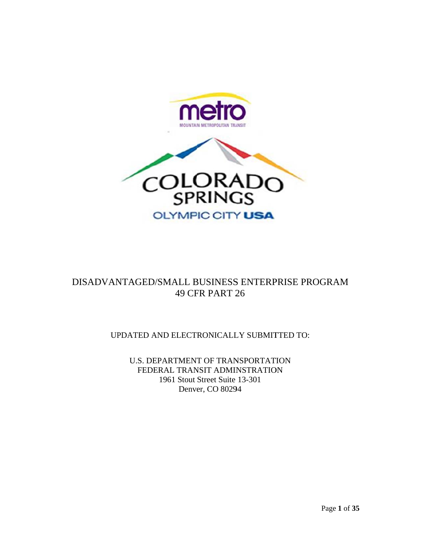



## DISADVANTAGED/SMALL BUSINESS ENTERPRISE PROGRAM 49 CF FR PART 2 26

UPDATED AND ELECTRONICALLY SUBMITTED TO:

U.S. DEPARTMENT OF TRANSPORTATION FEDERAL TRANSIT ADMINSTRATION 1961 Stout Street Suite 13-301 Denver, CO 80294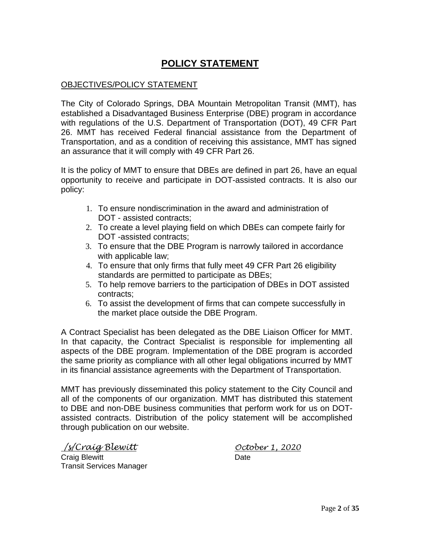# **POLICY STATEMENT**

## OBJECTIVES/POLICY STATEMENT

The City of Colorado Springs, DBA Mountain Metropolitan Transit (MMT), has established a Disadvantaged Business Enterprise (DBE) program in accordance with regulations of the U.S. Department of Transportation (DOT), 49 CFR Part 26. MMT has received Federal financial assistance from the Department of Transportation, and as a condition of receiving this assistance, MMT has signed an assurance that it will comply with 49 CFR Part 26.

It is the policy of MMT to ensure that DBEs are defined in part 26, have an equal opportunity to receive and participate in DOT-assisted contracts. It is also our policy:

- 1. To ensure nondiscrimination in the award and administration of DOT - assisted contracts;
- 2. To create a level playing field on which DBEs can compete fairly for DOT -assisted contracts;
- 3. To ensure that the DBE Program is narrowly tailored in accordance with applicable law;
- 4. To ensure that only firms that fully meet 49 CFR Part 26 eligibility standards are permitted to participate as DBEs;
- 5. To help remove barriers to the participation of DBEs in DOT assisted contracts;
- 6. To assist the development of firms that can compete successfully in the market place outside the DBE Program.

A Contract Specialist has been delegated as the DBE Liaison Officer for MMT. In that capacity, the Contract Specialist is responsible for implementing all aspects of the DBE program. Implementation of the DBE program is accorded the same priority as compliance with all other legal obligations incurred by MMT in its financial assistance agreements with the Department of Transportation.

MMT has previously disseminated this policy statement to the City Council and all of the components of our organization. MMT has distributed this statement to DBE and non-DBE business communities that perform work for us on DOTassisted contracts. Distribution of the policy statement will be accomplished through publication on our website.

 */s/Craig Blewitt October 1, 2020*

Craig Blewitt **Date** Transit Services Manager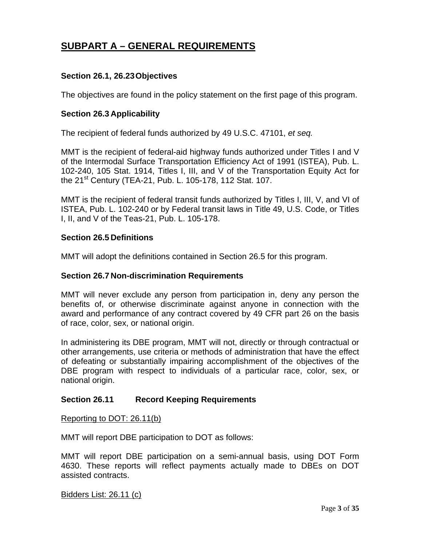## **SUBPART A – GENERAL REQUIREMENTS**

## **Section 26.1, 26.23 Objectives**

The objectives are found in the policy statement on the first page of this program.

#### **Section 26.3 Applicability**

The recipient of federal funds authorized by 49 U.S.C. 47101, *et seq.*

MMT is the recipient of federal-aid highway funds authorized under Titles I and V of the Intermodal Surface Transportation Efficiency Act of 1991 (ISTEA), Pub. L. 102-240, 105 Stat. 1914, Titles I, III, and V of the Transportation Equity Act for the 21<sup>st</sup> Century (TEA-21, Pub. L. 105-178, 112 Stat. 107.

MMT is the recipient of federal transit funds authorized by Titles I, III, V, and VI of ISTEA, Pub. L. 102-240 or by Federal transit laws in Title 49, U.S. Code, or Titles I, II, and V of the Teas-21, Pub. L. 105-178.

## **Section 26.5 Definitions**

MMT will adopt the definitions contained in Section 26.5 for this program.

#### **Section 26.7 Non-discrimination Requirements**

MMT will never exclude any person from participation in, deny any person the benefits of, or otherwise discriminate against anyone in connection with the award and performance of any contract covered by 49 CFR part 26 on the basis of race, color, sex, or national origin.

In administering its DBE program, MMT will not, directly or through contractual or other arrangements, use criteria or methods of administration that have the effect of defeating or substantially impairing accomplishment of the objectives of the DBE program with respect to individuals of a particular race, color, sex, or national origin.

## **Section 26.11 Record Keeping Requirements**

Reporting to DOT: 26.11(b)

MMT will report DBE participation to DOT as follows:

MMT will report DBE participation on a semi-annual basis, using DOT Form 4630. These reports will reflect payments actually made to DBEs on DOT assisted contracts.

Bidders List: 26.11 (c)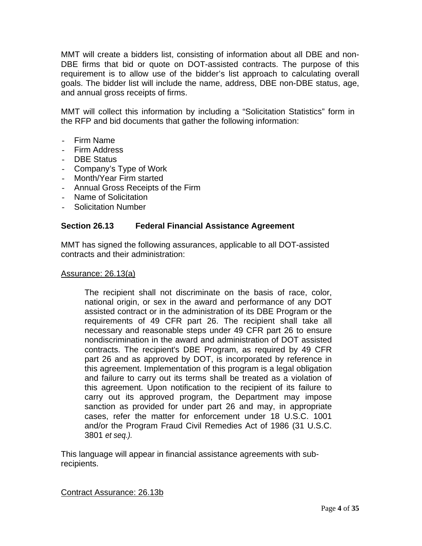MMT will create a bidders list, consisting of information about all DBE and non-DBE firms that bid or quote on DOT-assisted contracts. The purpose of this requirement is to allow use of the bidder's list approach to calculating overall goals. The bidder list will include the name, address, DBE non-DBE status, age, and annual gross receipts of firms.

MMT will collect this information by including a "Solicitation Statistics" form in the RFP and bid documents that gather the following information:

- Firm Name
- Firm Address
- DBE Status
- Company's Type of Work
- Month/Year Firm started
- Annual Gross Receipts of the Firm
- Name of Solicitation
- Solicitation Number

#### **Section 26.13 Federal Financial Assistance Agreement**

MMT has signed the following assurances, applicable to all DOT-assisted contracts and their administration:

#### Assurance: 26.13(a)

The recipient shall not discriminate on the basis of race, color, national origin, or sex in the award and performance of any DOT assisted contract or in the administration of its DBE Program or the requirements of 49 CFR part 26. The recipient shall take all necessary and reasonable steps under 49 CFR part 26 to ensure nondiscrimination in the award and administration of DOT assisted contracts. The recipient's DBE Program, as required by 49 CFR part 26 and as approved by DOT, is incorporated by reference in this agreement. Implementation of this program is a legal obligation and failure to carry out its terms shall be treated as a violation of this agreement. Upon notification to the recipient of its failure to carry out its approved program, the Department may impose sanction as provided for under part 26 and may, in appropriate cases, refer the matter for enforcement under 18 U.S.C. 1001 and/or the Program Fraud Civil Remedies Act of 1986 (31 U.S.C. 3801 *et seq.).* 

This language will appear in financial assistance agreements with subrecipients.

Contract Assurance: 26.13b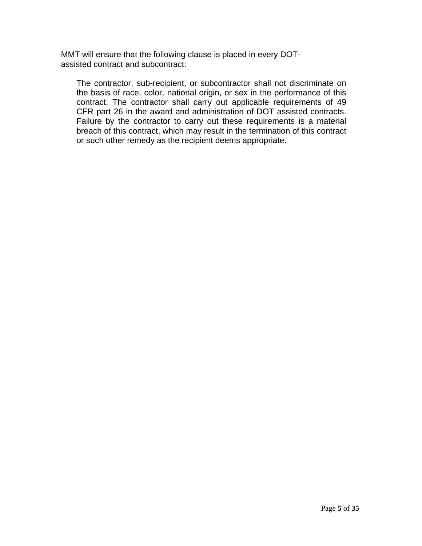MMT will ensure that the following clause is placed in every DOTassisted contract and subcontract:

The contractor, sub-recipient, or subcontractor shall not discriminate on the basis of race, color, national origin, or sex in the performance of this contract. The contractor shall carry out applicable requirements of 49 CFR part 26 in the award and administration of DOT assisted contracts. Failure by the contractor to carry out these requirements is a material breach of this contract, which may result in the termination of this contract or such other remedy as the recipient deems appropriate.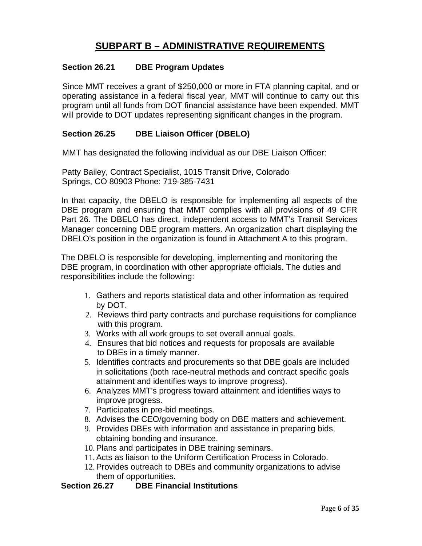## **SUBPART B – ADMINISTRATIVE REQUIREMENTS**

## **Section 26.21 DBE Program Updates**

Since MMT receives a grant of \$250,000 or more in FTA planning capital, and or operating assistance in a federal fiscal year, MMT will continue to carry out this program until all funds from DOT financial assistance have been expended. MMT will provide to DOT updates representing significant changes in the program.

## **Section 26.25 DBE Liaison Officer (DBELO)**

MMT has designated the following individual as our DBE Liaison Officer:

Patty Bailey, Contract Specialist, 1015 Transit Drive, Colorado Springs, CO 80903 Phone: 719-385-7431

In that capacity, the DBELO is responsible for implementing all aspects of the DBE program and ensuring that MMT complies with all provisions of 49 CFR Part 26. The DBELO has direct, independent access to MMT's Transit Services Manager concerning DBE program matters. An organization chart displaying the DBELO's position in the organization is found in Attachment A to this program.

The DBELO is responsible for developing, implementing and monitoring the DBE program, in coordination with other appropriate officials. The duties and responsibilities include the following:

- 1. Gathers and reports statistical data and other information as required by DOT.
- 2. Reviews third party contracts and purchase requisitions for compliance with this program.
- 3. Works with all work groups to set overall annual goals.
- 4. Ensures that bid notices and requests for proposals are available to DBEs in a timely manner.
- 5. Identifies contracts and procurements so that DBE goals are included in solicitations (both race-neutral methods and contract specific goals attainment and identifies ways to improve progress).
- 6. Analyzes MMT's progress toward attainment and identifies ways to improve progress.
- 7. Participates in pre-bid meetings.
- 8. Advises the CEO/governing body on DBE matters and achievement.
- 9. Provides DBEs with information and assistance in preparing bids, obtaining bonding and insurance.
- 10. Plans and participates in DBE training seminars.
- 11. Acts as liaison to the Uniform Certification Process in Colorado.
- 12. Provides outreach to DBEs and community organizations to advise them of opportunities.

### **Section 26.27 DBE Financial Institutions**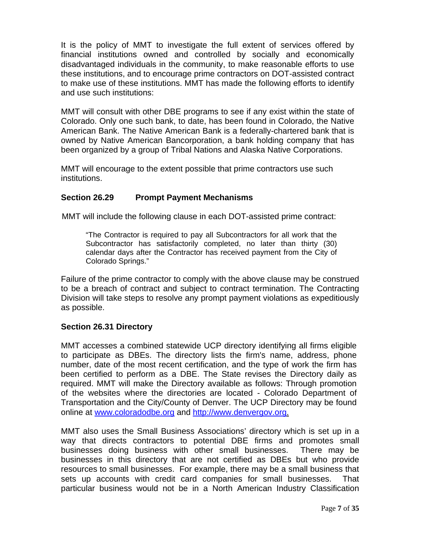It is the policy of MMT to investigate the full extent of services offered by financial institutions owned and controlled by socially and economically disadvantaged individuals in the community, to make reasonable efforts to use these institutions, and to encourage prime contractors on DOT-assisted contract to make use of these institutions. MMT has made the following efforts to identify and use such institutions:

MMT will consult with other DBE programs to see if any exist within the state of Colorado. Only one such bank, to date, has been found in Colorado, the Native American Bank. The Native American Bank is a federally-chartered bank that is owned by Native American Bancorporation, a bank holding company that has been organized by a group of Tribal Nations and Alaska Native Corporations.

MMT will encourage to the extent possible that prime contractors use such institutions.

## **Section 26.29 Prompt Payment Mechanisms**

MMT will include the following clause in each DOT-assisted prime contract:

"The Contractor is required to pay all Subcontractors for all work that the Subcontractor has satisfactorily completed, no later than thirty (30) calendar days after the Contractor has received payment from the City of Colorado Springs."

Failure of the prime contractor to comply with the above clause may be construed to be a breach of contract and subject to contract termination. The Contracting Division will take steps to resolve any prompt payment violations as expeditiously as possible.

## **Section 26.31 Directory**

MMT accesses a combined statewide UCP directory identifying all firms eligible to participate as DBEs. The directory lists the firm's name, address, phone number, date of the most recent certification, and the type of work the firm has been certified to perform as a DBE. The State revises the Directory daily as required. MMT will make the Directory available as follows: Through promotion of the websites where the directories are located - Colorado Department of Transportation and the City/County of Denver. The UCP Directory may be found online at www.coloradodbe.org and http://www.denvergov.org.

MMT also uses the Small Business Associations' directory which is set up in a way that directs contractors to potential DBE firms and promotes small businesses doing business with other small businesses. There may be businesses in this directory that are not certified as DBEs but who provide resources to small businesses. For example, there may be a small business that sets up accounts with credit card companies for small businesses. That particular business would not be in a North American Industry Classification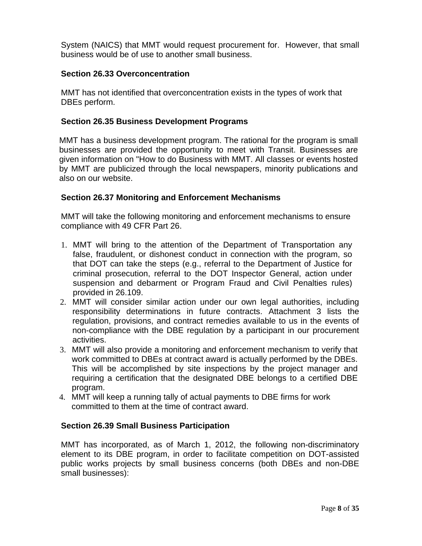System (NAICS) that MMT would request procurement for. However, that small business would be of use to another small business.

## **Section 26.33 Overconcentration**

MMT has not identified that overconcentration exists in the types of work that DBEs perform.

#### **Section 26.35 Business Development Programs**

MMT has a business development program. The rational for the program is small businesses are provided the opportunity to meet with Transit. Businesses are given information on "How to do Business with MMT. All classes or events hosted by MMT are publicized through the local newspapers, minority publications and also on our website.

#### **Section 26.37 Monitoring and Enforcement Mechanisms**

MMT will take the following monitoring and enforcement mechanisms to ensure compliance with 49 CFR Part 26.

- 1. MMT will bring to the attention of the Department of Transportation any false, fraudulent, or dishonest conduct in connection with the program, so that DOT can take the steps (e.g., referral to the Department of Justice for criminal prosecution, referral to the DOT Inspector General, action under suspension and debarment or Program Fraud and Civil Penalties rules) provided in 26.109.
- 2. MMT will consider similar action under our own legal authorities, including responsibility determinations in future contracts. Attachment 3 lists the regulation, provisions, and contract remedies available to us in the events of non-compliance with the DBE regulation by a participant in our procurement activities.
- 3. MMT will also provide a monitoring and enforcement mechanism to verify that work committed to DBEs at contract award is actually performed by the DBEs. This will be accomplished by site inspections by the project manager and requiring a certification that the designated DBE belongs to a certified DBE program.
- 4. MMT will keep a running tally of actual payments to DBE firms for work committed to them at the time of contract award.

## **Section 26.39 Small Business Participation**

MMT has incorporated, as of March 1, 2012, the following non-discriminatory element to its DBE program, in order to facilitate competition on DOT-assisted public works projects by small business concerns (both DBEs and non-DBE small businesses):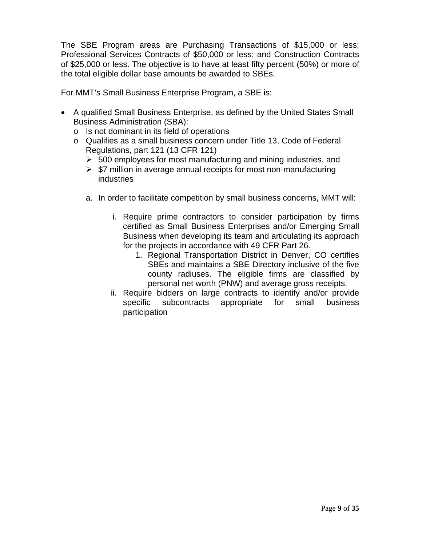The SBE Program areas are Purchasing Transactions of \$15,000 or less; Professional Services Contracts of \$50,000 or less; and Construction Contracts of \$25,000 or less. The objective is to have at least fifty percent (50%) or more of the total eligible dollar base amounts be awarded to SBEs.

For MMT's Small Business Enterprise Program, a SBE is:

- A qualified Small Business Enterprise, as defined by the United States Small Business Administration (SBA):
	- o Is not dominant in its field of operations
	- o Qualifies as a small business concern under Title 13, Code of Federal Regulations, part 121 (13 CFR 121)
		- $\geq$  500 employees for most manufacturing and mining industries, and
		- $\triangleright$  \$7 million in average annual receipts for most non-manufacturing industries
		- a. In order to facilitate competition by small business concerns, MMT will:
			- i. Require prime contractors to consider participation by firms certified as Small Business Enterprises and/or Emerging Small Business when developing its team and articulating its approach for the projects in accordance with 49 CFR Part 26.
				- 1. Regional Transportation District in Denver, CO certifies SBEs and maintains a SBE Directory inclusive of the five county radiuses. The eligible firms are classified by personal net worth (PNW) and average gross receipts.
			- ii. Require bidders on large contracts to identify and/or provide specific subcontracts appropriate for small business participation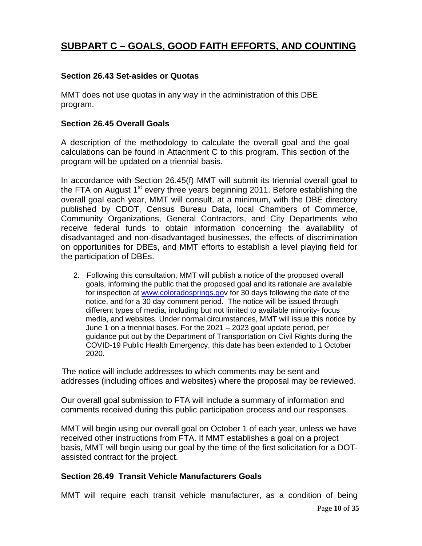## **SUBPART C – GOALS, GOOD FAITH EFFORTS, AND COUNTING**

### **Section 26.43 Set-asides or Quotas**

MMT does not use quotas in any way in the administration of this DBE program.

#### **Section 26.45 Overall Goals**

A description of the methodology to calculate the overall goal and the goal calculations can be found in Attachment C to this program. This section of the program will be updated on a triennial basis.

In accordance with Section 26.45(f) MMT will submit its triennial overall goal to the FTA on August  $1<sup>st</sup>$  every three years beginning 2011. Before establishing the overall goal each year, MMT will consult, at a minimum, with the DBE directory published by CDOT, Census Bureau Data, local Chambers of Commerce, Community Organizations, General Contractors, and City Departments who receive federal funds to obtain information concerning the availability of disadvantaged and non-disadvantaged businesses, the effects of discrimination on opportunities for DBEs, and MMT efforts to establish a level playing field for the participation of DBEs.

2. Following this consultation, MMT will publish a notice of the proposed overall goals, informing the public that the proposed goal and its rationale are available for inspection at www.coloradosprings.gov for 30 days following the date of the notice, and for a 30 day comment period. The notice will be issued through different types of media, including but not limited to available minority- focus media, and websites. Under normal circumstances, MMT will issue this notice by June 1 on a triennial bases. For the 2021 – 2023 goal update period, per guidance put out by the Department of Transportation on Civil Rights during the COVID-19 Public Health Emergency, this date has been extended to 1 October 2020.

 The notice will include addresses to which comments may be sent and addresses (including offices and websites) where the proposal may be reviewed.

Our overall goal submission to FTA will include a summary of information and comments received during this public participation process and our responses.

MMT will begin using our overall goal on October 1 of each year, unless we have received other instructions from FTA. If MMT establishes a goal on a project basis, MMT will begin using our goal by the time of the first solicitation for a DOTassisted contract for the project.

#### **Section 26.49 Transit Vehicle Manufacturers Goals**

MMT will require each transit vehicle manufacturer, as a condition of being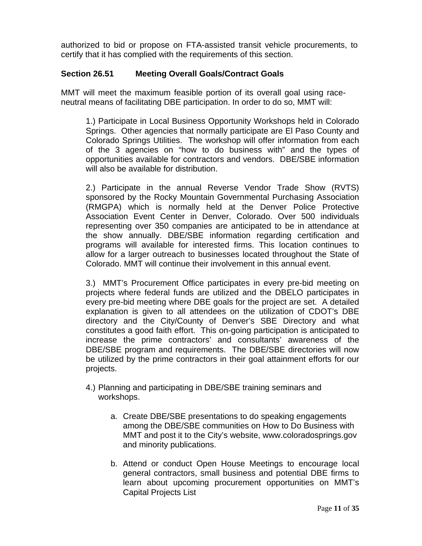authorized to bid or propose on FTA-assisted transit vehicle procurements, to certify that it has complied with the requirements of this section.

## **Section 26.51 Meeting Overall Goals/Contract Goals**

MMT will meet the maximum feasible portion of its overall goal using raceneutral means of facilitating DBE participation. In order to do so, MMT will:

1.) Participate in Local Business Opportunity Workshops held in Colorado Springs. Other agencies that normally participate are El Paso County and Colorado Springs Utilities. The workshop will offer information from each of the 3 agencies on "how to do business with" and the types of opportunities available for contractors and vendors. DBE/SBE information will also be available for distribution.

2.) Participate in the annual Reverse Vendor Trade Show (RVTS) sponsored by the Rocky Mountain Governmental Purchasing Association (RMGPA) which is normally held at the Denver Police Protective Association Event Center in Denver, Colorado. Over 500 individuals representing over 350 companies are anticipated to be in attendance at the show annually. DBE/SBE information regarding certification and programs will available for interested firms. This location continues to allow for a larger outreach to businesses located throughout the State of Colorado. MMT will continue their involvement in this annual event.

3.) MMT's Procurement Office participates in every pre-bid meeting on projects where federal funds are utilized and the DBELO participates in every pre-bid meeting where DBE goals for the project are set. A detailed explanation is given to all attendees on the utilization of CDOT's DBE directory and the City/County of Denver's SBE Directory and what constitutes a good faith effort. This on-going participation is anticipated to increase the prime contractors' and consultants' awareness of the DBE/SBE program and requirements. The DBE/SBE directories will now be utilized by the prime contractors in their goal attainment efforts for our projects.

- 4.) Planning and participating in DBE/SBE training seminars and workshops.
	- a. Create DBE/SBE presentations to do speaking engagements among the DBE/SBE communities on How to Do Business with MMT and post it to the City's website, www.coloradosprings.gov and minority publications.
	- b. Attend or conduct Open House Meetings to encourage local general contractors, small business and potential DBE firms to learn about upcoming procurement opportunities on MMT's Capital Projects List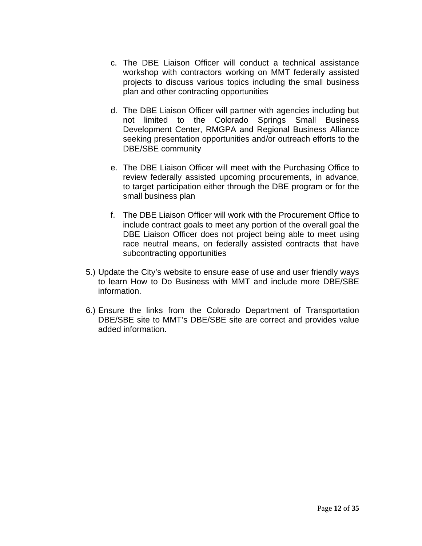- c. The DBE Liaison Officer will conduct a technical assistance workshop with contractors working on MMT federally assisted projects to discuss various topics including the small business plan and other contracting opportunities
- d. The DBE Liaison Officer will partner with agencies including but not limited to the Colorado Springs Small Business Development Center, RMGPA and Regional Business Alliance seeking presentation opportunities and/or outreach efforts to the DBE/SBE community
- e. The DBE Liaison Officer will meet with the Purchasing Office to review federally assisted upcoming procurements, in advance, to target participation either through the DBE program or for the small business plan
- f. The DBE Liaison Officer will work with the Procurement Office to include contract goals to meet any portion of the overall goal the DBE Liaison Officer does not project being able to meet using race neutral means, on federally assisted contracts that have subcontracting opportunities
- 5.) Update the City's website to ensure ease of use and user friendly ways to learn How to Do Business with MMT and include more DBE/SBE information.
- 6.) Ensure the links from the Colorado Department of Transportation DBE/SBE site to MMT's DBE/SBE site are correct and provides value added information.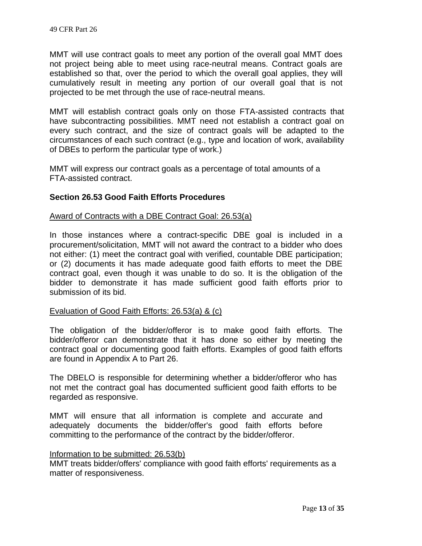MMT will use contract goals to meet any portion of the overall goal MMT does not project being able to meet using race-neutral means. Contract goals are established so that, over the period to which the overall goal applies, they will cumulatively result in meeting any portion of our overall goal that is not projected to be met through the use of race-neutral means.

MMT will establish contract goals only on those FTA-assisted contracts that have subcontracting possibilities. MMT need not establish a contract goal on every such contract, and the size of contract goals will be adapted to the circumstances of each such contract (e.g., type and location of work, availability of DBEs to perform the particular type of work.)

MMT will express our contract goals as a percentage of total amounts of a FTA-assisted contract.

## **Section 26.53 Good Faith Efforts Procedures**

#### Award of Contracts with a DBE Contract Goal: 26.53(a)

In those instances where a contract-specific DBE goal is included in a procurement/solicitation, MMT will not award the contract to a bidder who does not either: (1) meet the contract goal with verified, countable DBE participation; or (2) documents it has made adequate good faith efforts to meet the DBE contract goal, even though it was unable to do so. It is the obligation of the bidder to demonstrate it has made sufficient good faith efforts prior to submission of its bid.

#### Evaluation of Good Faith Efforts: 26.53(a) & (c)

The obligation of the bidder/offeror is to make good faith efforts. The bidder/offeror can demonstrate that it has done so either by meeting the contract goal or documenting good faith efforts. Examples of good faith efforts are found in Appendix A to Part 26.

The DBELO is responsible for determining whether a bidder/offeror who has not met the contract goal has documented sufficient good faith efforts to be regarded as responsive.

MMT will ensure that all information is complete and accurate and adequately documents the bidder/offer's good faith efforts before committing to the performance of the contract by the bidder/offeror.

#### Information to be submitted: 26.53(b)

MMT treats bidder/offers' compliance with good faith efforts' requirements as a matter of responsiveness.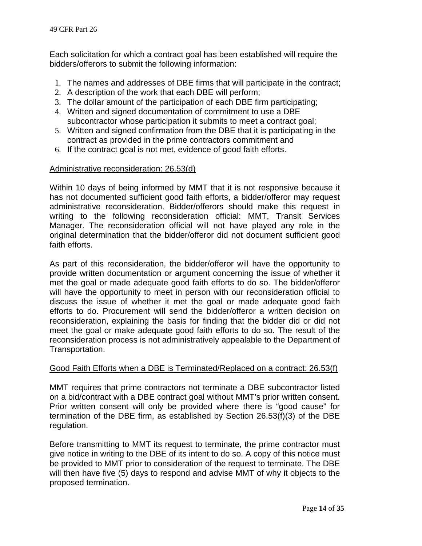Each solicitation for which a contract goal has been established will require the bidders/offerors to submit the following information:

- 1. The names and addresses of DBE firms that will participate in the contract;
- 2. A description of the work that each DBE will perform;
- 3. The dollar amount of the participation of each DBE firm participating;
- 4. Written and signed documentation of commitment to use a DBE subcontractor whose participation it submits to meet a contract goal;
- 5. Written and signed confirmation from the DBE that it is participating in the contract as provided in the prime contractors commitment and
- 6. If the contract goal is not met, evidence of good faith efforts.

#### Administrative reconsideration: 26.53(d)

Within 10 days of being informed by MMT that it is not responsive because it has not documented sufficient good faith efforts, a bidder/offeror may request administrative reconsideration. Bidder/offerors should make this request in writing to the following reconsideration official: MMT, Transit Services Manager. The reconsideration official will not have played any role in the original determination that the bidder/offeror did not document sufficient good faith efforts.

As part of this reconsideration, the bidder/offeror will have the opportunity to provide written documentation or argument concerning the issue of whether it met the goal or made adequate good faith efforts to do so. The bidder/offeror will have the opportunity to meet in person with our reconsideration official to discuss the issue of whether it met the goal or made adequate good faith efforts to do. Procurement will send the bidder/offeror a written decision on reconsideration, explaining the basis for finding that the bidder did or did not meet the goal or make adequate good faith efforts to do so. The result of the reconsideration process is not administratively appealable to the Department of Transportation.

#### Good Faith Efforts when a DBE is Terminated/Replaced on a contract: 26.53(f)

MMT requires that prime contractors not terminate a DBE subcontractor listed on a bid/contract with a DBE contract goal without MMT's prior written consent. Prior written consent will only be provided where there is "good cause" for termination of the DBE firm, as established by Section 26.53(f)(3) of the DBE regulation.

Before transmitting to MMT its request to terminate, the prime contractor must give notice in writing to the DBE of its intent to do so. A copy of this notice must be provided to MMT prior to consideration of the request to terminate. The DBE will then have five (5) days to respond and advise MMT of why it objects to the proposed termination.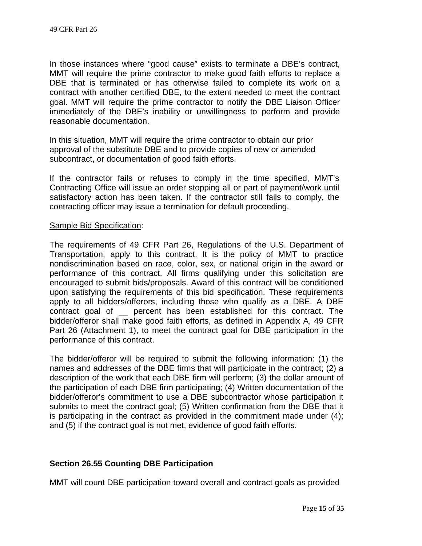In those instances where "good cause" exists to terminate a DBE's contract, MMT will require the prime contractor to make good faith efforts to replace a DBE that is terminated or has otherwise failed to complete its work on a contract with another certified DBE, to the extent needed to meet the contract goal. MMT will require the prime contractor to notify the DBE Liaison Officer immediately of the DBE's inability or unwillingness to perform and provide reasonable documentation.

In this situation, MMT will require the prime contractor to obtain our prior approval of the substitute DBE and to provide copies of new or amended subcontract, or documentation of good faith efforts.

If the contractor fails or refuses to comply in the time specified, MMT's Contracting Office will issue an order stopping all or part of payment/work until satisfactory action has been taken. If the contractor still fails to comply, the contracting officer may issue a termination for default proceeding.

#### Sample Bid Specification:

The requirements of 49 CFR Part 26, Regulations of the U.S. Department of Transportation, apply to this contract. It is the policy of MMT to practice nondiscrimination based on race, color, sex, or national origin in the award or performance of this contract. All firms qualifying under this solicitation are encouraged to submit bids/proposals. Award of this contract will be conditioned upon satisfying the requirements of this bid specification. These requirements apply to all bidders/offerors, including those who qualify as a DBE. A DBE contract goal of \_\_ percent has been established for this contract. The bidder/offeror shall make good faith efforts, as defined in Appendix A, 49 CFR Part 26 (Attachment 1), to meet the contract goal for DBE participation in the performance of this contract.

The bidder/offeror will be required to submit the following information: (1) the names and addresses of the DBE firms that will participate in the contract; (2) a description of the work that each DBE firm will perform; (3) the dollar amount of the participation of each DBE firm participating; (4) Written documentation of the bidder/offeror's commitment to use a DBE subcontractor whose participation it submits to meet the contract goal; (5) Written confirmation from the DBE that it is participating in the contract as provided in the commitment made under (4); and (5) if the contract goal is not met, evidence of good faith efforts.

## **Section 26.55 Counting DBE Participation**

MMT will count DBE participation toward overall and contract goals as provided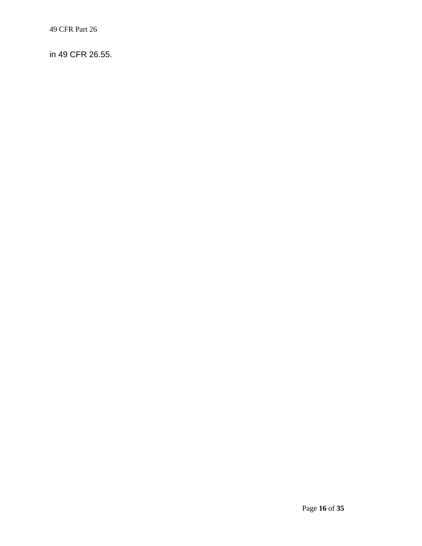in 49 CFR 26.55.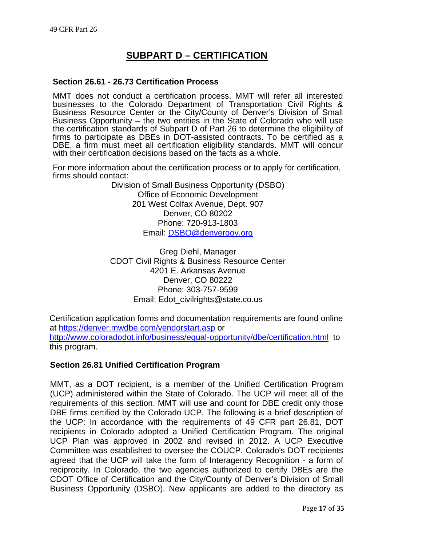## **SUBPART D – CERTIFICATION**

#### **Section 26.61 - 26.73 Certification Process**

MMT does not conduct a certification process. MMT will refer all interested businesses to the Colorado Department of Transportation Civil Rights & Business Resource Center or the City/County of Denver's Division of Small Business Opportunity – the two entities in the State of Colorado who will use the certification standards of Subpart D of Part 26 to determine the eligibility of firms to participate as DBEs in DOT-assisted contracts. To be certified as a DBE, a firm must meet all certification eligibility standards. MMT will concur with their certification decisions based on the facts as a whole.

For more information about the certification process or to apply for certification, firms should contact:

> Division of Small Business Opportunity (DSBO) Office of Economic Development 201 West Colfax Avenue, Dept. 907 Denver, CO 80202 Phone: 720-913-1803 Email: DSBO@denvergov.org

Greg Diehl, Manager CDOT Civil Rights & Business Resource Center 4201 E. Arkansas Avenue Denver, CO 80222 Phone: 303-757-9599 Email: Edot\_civilrights@state.co.us

Certification application forms and documentation requirements are found online at https://denver.mwdbe.com/vendorstart.asp or http://www.coloradodot.info/business/equal-opportunity/dbe/certification.html to this program.

#### **Section 26.81 Unified Certification Program**

MMT, as a DOT recipient, is a member of the Unified Certification Program (UCP) administered within the State of Colorado. The UCP will meet all of the requirements of this section. MMT will use and count for DBE credit only those DBE firms certified by the Colorado UCP. The following is a brief description of the UCP: In accordance with the requirements of 49 CFR part 26.81, DOT recipients in Colorado adopted a Unified Certification Program. The original UCP Plan was approved in 2002 and revised in 2012. A UCP Executive Committee was established to oversee the COUCP. Colorado's DOT recipients agreed that the UCP will take the form of Interagency Recognition - a form of reciprocity. In Colorado, the two agencies authorized to certify DBEs are the CDOT Office of Certification and the City/County of Denver's Division of Small Business Opportunity (DSBO). New applicants are added to the directory as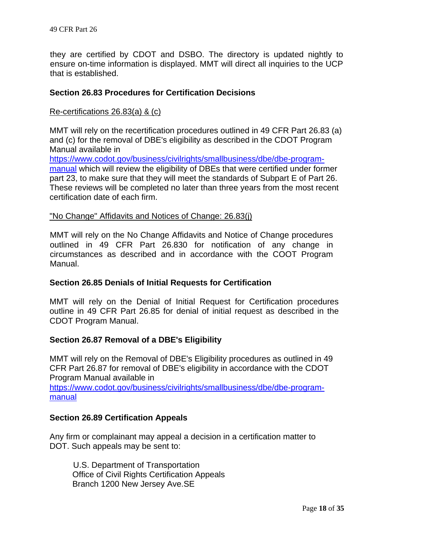they are certified by CDOT and DSBO. The directory is updated nightly to ensure on-time information is displayed. MMT will direct all inquiries to the UCP that is established.

#### **Section 26.83 Procedures for Certification Decisions**

#### Re-certifications 26.83(a) & (c)

MMT will rely on the recertification procedures outlined in 49 CFR Part 26.83 (a) and (c) for the removal of DBE's eligibility as described in the CDOT Program Manual available in

https://www.codot.gov/business/civilrights/smallbusiness/dbe/dbe-programmanual which will review the eligibility of DBEs that were certified under former part 23, to make sure that they will meet the standards of Subpart E of Part 26. These reviews will be completed no later than three years from the most recent certification date of each firm.

#### "No Change" Affidavits and Notices of Change: 26.83(j)

MMT will rely on the No Change Affidavits and Notice of Change procedures outlined in 49 CFR Part 26.830 for notification of any change in circumstances as described and in accordance with the COOT Program Manual.

#### **Section 26.85 Denials of Initial Requests for Certification**

MMT will rely on the Denial of Initial Request for Certification procedures outline in 49 CFR Part 26.85 for denial of initial request as described in the CDOT Program Manual.

## **Section 26.87 Removal of a DBE's Eligibility**

MMT will rely on the Removal of DBE's Eligibility procedures as outlined in 49 CFR Part 26.87 for removal of DBE's eligibility in accordance with the CDOT Program Manual available in

https://www.codot.gov/business/civilrights/smallbusiness/dbe/dbe-programmanual

#### **Section 26.89 Certification Appeals**

Any firm or complainant may appeal a decision in a certification matter to DOT. Such appeals may be sent to:

U.S. Department of Transportation Office of Civil Rights Certification Appeals Branch 1200 New Jersey Ave.SE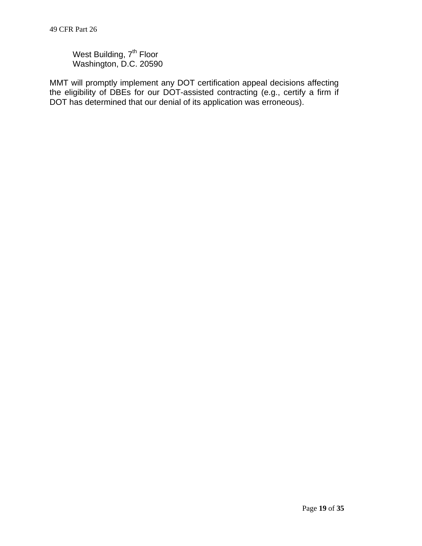West Building, 7<sup>th</sup> Floor Washington, D.C. 20590

MMT will promptly implement any DOT certification appeal decisions affecting the eligibility of DBEs for our DOT-assisted contracting (e.g., certify a firm if DOT has determined that our denial of its application was erroneous).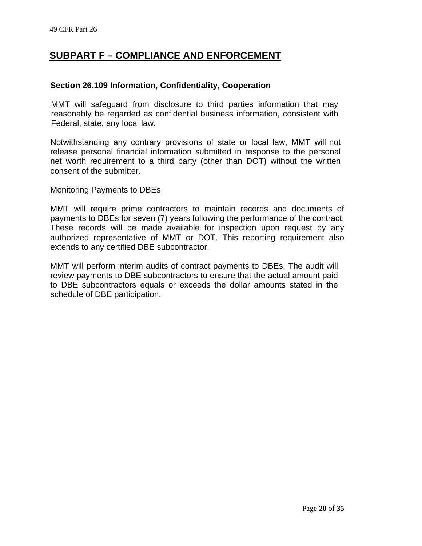## **SUBPART F – COMPLIANCE AND ENFORCEMENT**

#### **Section 26.109 Information, Confidentiality, Cooperation**

MMT will safeguard from disclosure to third parties information that may reasonably be regarded as confidential business information, consistent with Federal, state, any local law.

Notwithstanding any contrary provisions of state or local law, MMT will not release personal financial information submitted in response to the personal net worth requirement to a third party (other than DOT) without the written consent of the submitter.

#### Monitoring Payments to DBEs

MMT will require prime contractors to maintain records and documents of payments to DBEs for seven (7) years following the performance of the contract. These records will be made available for inspection upon request by any authorized representative of MMT or DOT. This reporting requirement also extends to any certified DBE subcontractor.

MMT will perform interim audits of contract payments to DBEs. The audit will review payments to DBE subcontractors to ensure that the actual amount paid to DBE subcontractors equals or exceeds the dollar amounts stated in the schedule of DBE participation.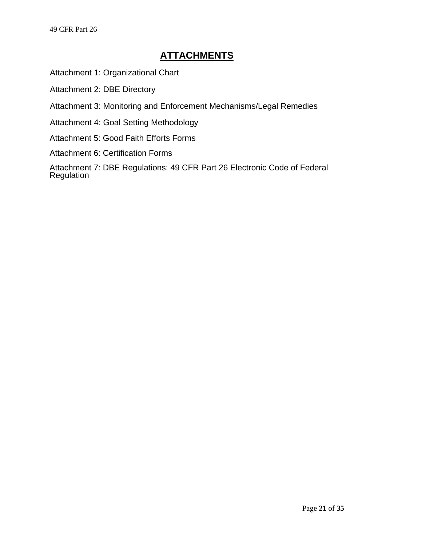Attachment 1: Organizational Chart

Attachment 2: DBE Directory

Attachment 3: Monitoring and Enforcement Mechanisms/Legal Remedies

Attachment 4: Goal Setting Methodology

Attachment 5: Good Faith Efforts Forms

Attachment 6: Certification Forms

Attachment 7: DBE Regulations: 49 CFR Part 26 Electronic Code of Federal **Regulation**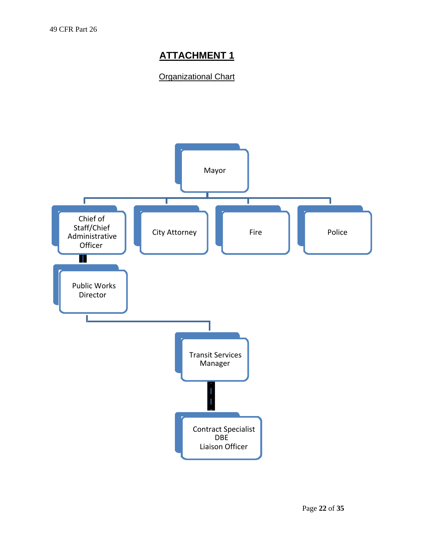## **Organizational Chart**

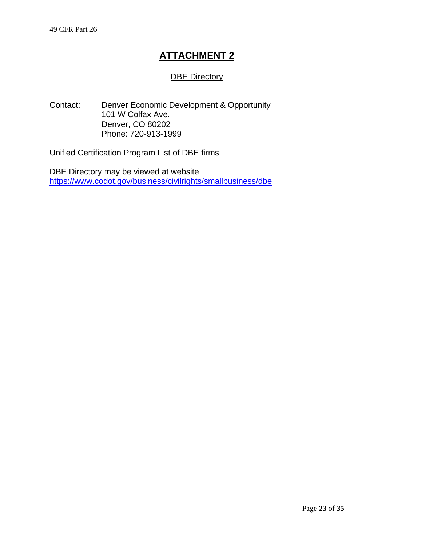## DBE Directory

Contact: Denver Economic Development & Opportunity 101 W Colfax Ave. Denver, CO 80202 Phone: 720-913-1999

Unified Certification Program List of DBE firms

DBE Directory may be viewed at website https://www.codot.gov/business/civilrights/smallbusiness/dbe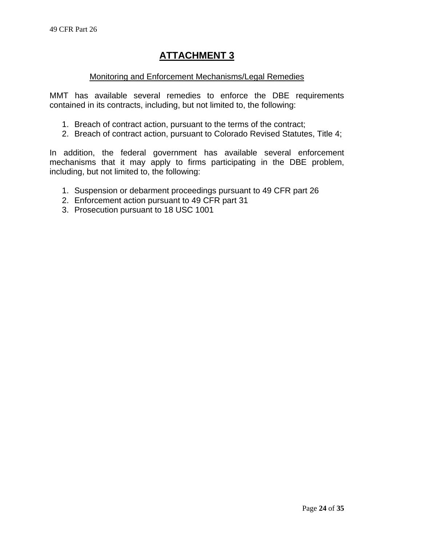## Monitoring and Enforcement Mechanisms/Legal Remedies

MMT has available several remedies to enforce the DBE requirements contained in its contracts, including, but not limited to, the following:

- 1. Breach of contract action, pursuant to the terms of the contract;
- 2. Breach of contract action, pursuant to Colorado Revised Statutes, Title 4;

In addition, the federal government has available several enforcement mechanisms that it may apply to firms participating in the DBE problem, including, but not limited to, the following:

- 1. Suspension or debarment proceedings pursuant to 49 CFR part 26
- 2. Enforcement action pursuant to 49 CFR part 31
- 3. Prosecution pursuant to 18 USC 1001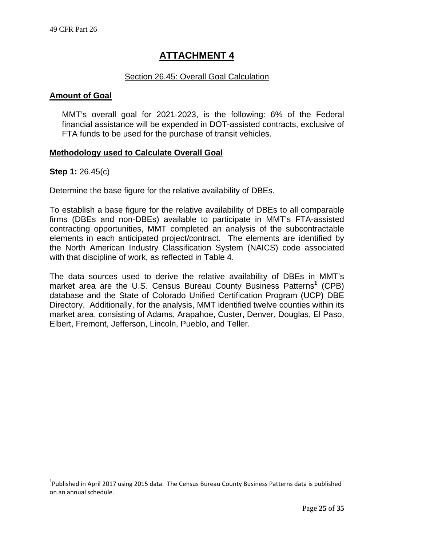## Section 26.45: Overall Goal Calculation

### **Amount of Goal**

MMT's overall goal for 2021-2023, is the following: 6% of the Federal financial assistance will be expended in DOT-assisted contracts, exclusive of FTA funds to be used for the purchase of transit vehicles.

## **Methodology used to Calculate Overall Goal**

#### **Step 1:** 26.45(c)

l

Determine the base figure for the relative availability of DBEs.

To establish a base figure for the relative availability of DBEs to all comparable firms (DBEs and non-DBEs) available to participate in MMT's FTA-assisted contracting opportunities, MMT completed an analysis of the subcontractable elements in each anticipated project/contract. The elements are identified by the North American Industry Classification System (NAICS) code associated with that discipline of work, as reflected in Table 4.

The data sources used to derive the relative availability of DBEs in MMT's market area are the U.S. Census Bureau County Business Patterns**<sup>1</sup>** (CPB) database and the State of Colorado Unified Certification Program (UCP) DBE Directory. Additionally, for the analysis, MMT identified twelve counties within its market area, consisting of Adams, Arapahoe, Custer, Denver, Douglas, El Paso, Elbert, Fremont, Jefferson, Lincoln, Pueblo, and Teller.

<sup>&</sup>lt;sup>1</sup>Published in April 2017 using 2015 data. The Census Bureau County Business Patterns data is published on an annual schedule.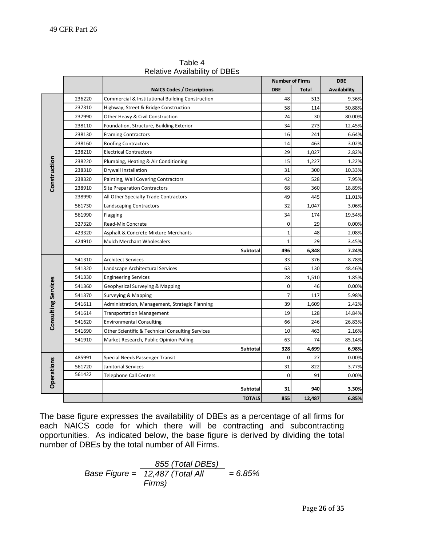|                            |        |                                                  |              | <b>Number of Firms</b> | <b>DBE</b>   |
|----------------------------|--------|--------------------------------------------------|--------------|------------------------|--------------|
|                            |        | <b>NAICS Codes / Descriptions</b>                | <b>DBE</b>   | <b>Total</b>           | Availability |
|                            | 236220 | Commercial & Institutional Building Construction | 48           | 513                    | 9.36%        |
|                            | 237310 | Highway, Street & Bridge Construction            | 58           | 114                    | 50.88%       |
|                            | 237990 | Other Heavy & Civil Construction                 | 24           | 30                     | 80.00%       |
|                            | 238110 | Foundation, Structure, Building Exterior         | 34           | 273                    | 12.45%       |
|                            | 238130 | <b>Framing Contractors</b>                       | 16           | 241                    | 6.64%        |
|                            | 238160 | <b>Roofing Contractors</b>                       | 14           | 463                    | 3.02%        |
|                            | 238210 | <b>Electrical Contractors</b>                    | 29           | 1,027                  | 2.82%        |
|                            | 238220 | Plumbing, Heating & Air Conditioning             | 15           | 1,227                  | 1.22%        |
|                            | 238310 | Drywall Installation                             | 31           | 300                    | 10.33%       |
| Construction               | 238320 | Painting, Wall Covering Contractors              | 42           | 528                    | 7.95%        |
|                            | 238910 | <b>Site Preparation Contractors</b>              | 68           | 360                    | 18.89%       |
|                            | 238990 | All Other Specialty Trade Contractors            | 49           | 445                    | 11.01%       |
|                            | 561730 | Landscaping Contractors                          | 32           | 1,047                  | 3.06%        |
|                            | 561990 | Flagging                                         | 34           | 174                    | 19.54%       |
|                            | 327320 | Read-Mix Concrete                                | 0            | 29                     | 0.00%        |
|                            | 423320 | Asphalt & Concrete Mixture Merchants             | $\mathbf{1}$ | 48                     | 2.08%        |
|                            | 424910 | <b>Mulch Merchant Wholesalers</b>                | $\mathbf{1}$ | 29                     | 3.45%        |
|                            |        | Subtotal                                         | 496          | 6,848                  | 7.24%        |
|                            | 541310 | Architect Services                               | 33           | 376                    | 8.78%        |
|                            | 541320 | Landscape Architectural Services                 | 63           | 130                    | 48.46%       |
|                            | 541330 | <b>Engineering Services</b>                      | 28           | 1,510                  | 1.85%        |
|                            | 541360 | Geophysical Surveying & Mapping                  | $\mathbf 0$  | 46                     | 0.00%        |
|                            | 541370 | Surveying & Mapping                              | 7            | 117                    | 5.98%        |
| <b>Consulting Services</b> | 541611 | Administration, Management, Strategic Planning   | 39           | 1,609                  | 2.42%        |
|                            | 541614 | <b>Transportation Management</b>                 | 19           | 128                    | 14.84%       |
|                            | 541620 | <b>Environmental Consulting</b>                  | 66           | 246                    | 26.83%       |
|                            | 541690 | Other Scientific & Technical Consulting Services | 10           | 463                    | 2.16%        |
|                            | 541910 | Market Research, Public Opinion Polling          | 63           | 74                     | 85.14%       |
|                            |        | Subtotal                                         | 328          | 4,699                  | 6.98%        |
|                            | 485991 | Special Needs Passenger Transit                  | $\mathbf 0$  | 27                     | 0.00%        |
|                            | 561720 | Janitorial Services                              | 31           | 822                    | 3.77%        |
|                            | 561422 | <b>Telephone Call Centers</b>                    | $\mathbf 0$  | 91                     | 0.00%        |
| Operations                 |        | Subtotal                                         | 31           | 940                    | 3.30%        |
|                            |        | <b>TOTALS</b>                                    | 855          | 12,487                 | 6.85%        |

Table 4 Relative Availability of DBEs

The base figure expresses the availability of DBEs as a percentage of all firms for each NAICS code for which there will be contracting and subcontracting opportunities. As indicated below, the base figure is derived by dividing the total number of DBEs by the total number of All Firms.

> *Base Figure = 12,487 (Total All = 6.85% 855 (Total DBEs) Firms)*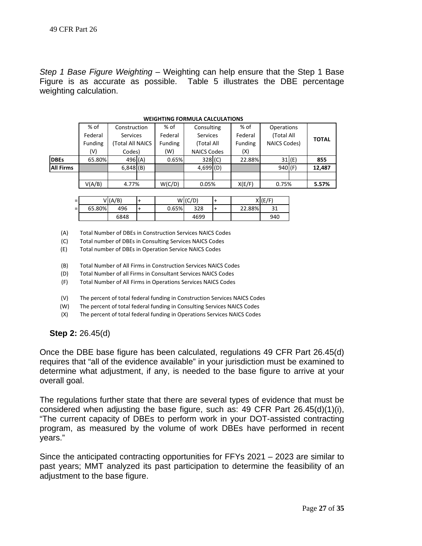*Step 1 Base Figure Weighting –* Weighting can help ensure that the Step 1 Base Figure is as accurate as possible. Table 5 illustrates the DBE percentage weighting calculation.

|                  | <b>WEIGHTING FORMULA CALCULATIONS</b> |                  |  |         |                    |  |                |                     |       |              |  |
|------------------|---------------------------------------|------------------|--|---------|--------------------|--|----------------|---------------------|-------|--------------|--|
|                  | % of                                  | Construction     |  | % of    | Consulting         |  | % of           | Operations          |       |              |  |
|                  | Federal                               | <b>Services</b>  |  | Federal | <b>Services</b>    |  | Federal        | (Total All          |       |              |  |
|                  | Funding                               | (Total All NAICS |  | Funding | (Total All         |  | <b>Funding</b> | <b>NAICS Codes)</b> |       | <b>TOTAL</b> |  |
|                  | (V)                                   | Codes)           |  | (W)     | <b>NAICS Codes</b> |  | (X)            |                     |       |              |  |
| <b>IDBEs</b>     | 65.80%                                | 496(A)           |  | 0.65%   | $328$ (C)          |  | 22.88%         |                     | 31(E) | 855          |  |
| <b>All Firms</b> |                                       | $6,848$ (B)      |  |         | 4,699(D)           |  |                | 940 (F)             |       | 12,487       |  |
|                  |                                       |                  |  |         |                    |  |                |                     |       |              |  |
|                  | V(A/B)                                | 4.77%            |  | W(C/D)  | 0.05%              |  | X(E/F)         | 0.75%               |       | 5.57%        |  |

| -<br>$\overline{\phantom{0}}$ |        | V(A/B) |       | W(C/D) |        | 7E)<br>- |
|-------------------------------|--------|--------|-------|--------|--------|----------|
| $=$                           | 65.80% | 496    | 0.65% | 328    | 22.88% |          |
|                               |        | 6848   |       | 4699   |        | 940      |

(A) Total Number of DBEs in Construction Services NAICS Codes

(C) Total number of DBEs in Consulting Services NAICS Codes

(E) Total number of DBEs in Operation Service NAICS Codes

(B) Total Number of All Firms in Construction Services NAICS Codes

(D) Total Number of all Firms in Consultant Services NAICS Codes

(F) Total Number of All Firms in Operations Services NAICS Codes

(V) The percent of total federal funding in Construction Services NAICS Codes

(W) The percent of total federal funding in Consulting Services NAICS Codes

(X) The percent of total federal funding in Operations Services NAICS Codes

**Step 2:** 26.45(d)

Once the DBE base figure has been calculated, regulations 49 CFR Part 26.45(d) requires that "all of the evidence available" in your jurisdiction must be examined to determine what adjustment, if any, is needed to the base figure to arrive at your overall goal.

The regulations further state that there are several types of evidence that must be considered when adjusting the base figure, such as: 49 CFR Part 26.45(d)(1)(i), "The current capacity of DBEs to perform work in your DOT-assisted contracting program, as measured by the volume of work DBEs have performed in recent years."

Since the anticipated contracting opportunities for FFYs 2021 – 2023 are similar to past years; MMT analyzed its past participation to determine the feasibility of an adjustment to the base figure.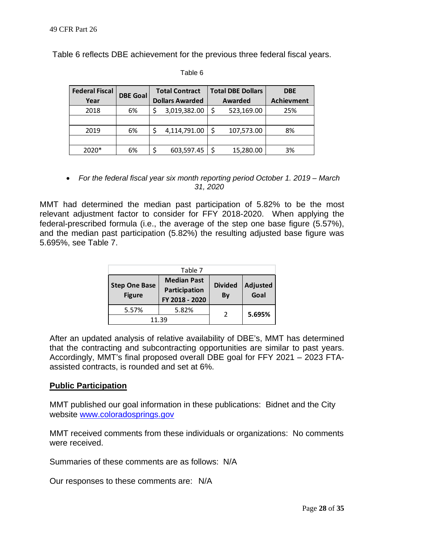Table 6 reflects DBE achievement for the previous three federal fiscal years.

Table 6

| <b>Federal Fiscal</b> |                 |  | <b>Total Contract</b>  |   | <b>Total DBE Dollars</b> | <b>DBE</b>        |  |
|-----------------------|-----------------|--|------------------------|---|--------------------------|-------------------|--|
| Year                  | <b>DBE Goal</b> |  | <b>Dollars Awarded</b> |   | Awarded                  | <b>Achievment</b> |  |
| 2018                  | 6%              |  | 3,019,382.00           | Ś | 523,169.00               | 25%               |  |
|                       |                 |  |                        |   |                          |                   |  |
| 2019                  | 6%              |  | 4,114,791.00           | ς | 107,573.00               | 8%                |  |
|                       |                 |  |                        |   |                          |                   |  |
| $2020*$               | 6%              |  | 603,597.45             |   | 15,280.00                | 3%                |  |

 *For the federal fiscal year six month reporting period October 1. 2019 – March 31, 2020* 

MMT had determined the median past participation of 5.82% to be the most relevant adjustment factor to consider for FFY 2018-2020. When applying the federal-prescribed formula (i.e., the average of the step one base figure (5.57%), and the median past participation (5.82%) the resulting adjusted base figure was 5.695%, see Table 7.

|                                       | Table 7                                               |                      |                  |  |
|---------------------------------------|-------------------------------------------------------|----------------------|------------------|--|
| <b>Step One Base</b><br><b>Figure</b> | <b>Median Past</b><br>Participation<br>FY 2018 - 2020 | <b>Divided</b><br>By | Adjusted<br>Goal |  |
| 5.57%                                 | 5.82%                                                 |                      | 5.695%           |  |
|                                       | 11.39                                                 |                      |                  |  |

After an updated analysis of relative availability of DBE's, MMT has determined that the contracting and subcontracting opportunities are similar to past years. Accordingly, MMT's final proposed overall DBE goal for FFY 2021 – 2023 FTAassisted contracts, is rounded and set at 6%.

## **Public Participation**

MMT published our goal information in these publications: Bidnet and the City website www.coloradosprings.gov

MMT received comments from these individuals or organizations: No comments were received.

Summaries of these comments are as follows: N/A

Our responses to these comments are: N/A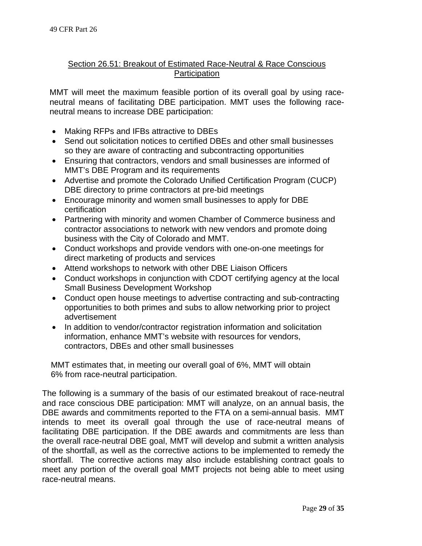## Section 26.51: Breakout of Estimated Race-Neutral & Race Conscious **Participation**

MMT will meet the maximum feasible portion of its overall goal by using raceneutral means of facilitating DBE participation. MMT uses the following raceneutral means to increase DBE participation:

- Making RFPs and IFBs attractive to DBEs
- Send out solicitation notices to certified DBEs and other small businesses so they are aware of contracting and subcontracting opportunities
- Ensuring that contractors, vendors and small businesses are informed of MMT's DBE Program and its requirements
- Advertise and promote the Colorado Unified Certification Program (CUCP) DBE directory to prime contractors at pre-bid meetings
- Encourage minority and women small businesses to apply for DBE certification
- Partnering with minority and women Chamber of Commerce business and contractor associations to network with new vendors and promote doing business with the City of Colorado and MMT.
- Conduct workshops and provide vendors with one-on-one meetings for direct marketing of products and services
- Attend workshops to network with other DBE Liaison Officers
- Conduct workshops in conjunction with CDOT certifying agency at the local Small Business Development Workshop
- Conduct open house meetings to advertise contracting and sub-contracting opportunities to both primes and subs to allow networking prior to project advertisement
- In addition to vendor/contractor registration information and solicitation information, enhance MMT's website with resources for vendors, contractors, DBEs and other small businesses

MMT estimates that, in meeting our overall goal of 6%, MMT will obtain 6% from race-neutral participation.

The following is a summary of the basis of our estimated breakout of race-neutral and race conscious DBE participation: MMT will analyze, on an annual basis, the DBE awards and commitments reported to the FTA on a semi-annual basis. MMT intends to meet its overall goal through the use of race-neutral means of facilitating DBE participation. If the DBE awards and commitments are less than the overall race-neutral DBE goal, MMT will develop and submit a written analysis of the shortfall, as well as the corrective actions to be implemented to remedy the shortfall. The corrective actions may also include establishing contract goals to meet any portion of the overall goal MMT projects not being able to meet using race-neutral means.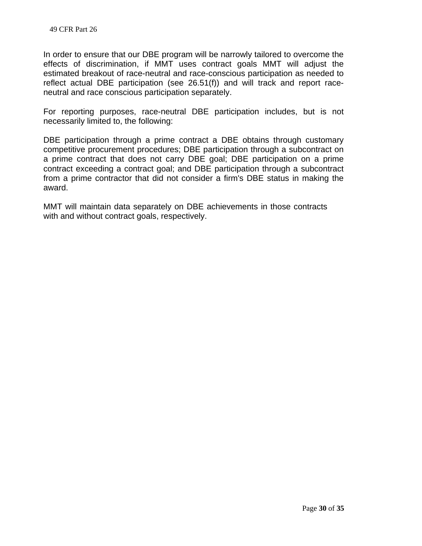In order to ensure that our DBE program will be narrowly tailored to overcome the effects of discrimination, if MMT uses contract goals MMT will adjust the estimated breakout of race-neutral and race-conscious participation as needed to reflect actual DBE participation (see 26.51(f)) and will track and report raceneutral and race conscious participation separately.

For reporting purposes, race-neutral DBE participation includes, but is not necessarily limited to, the following:

DBE participation through a prime contract a DBE obtains through customary competitive procurement procedures; DBE participation through a subcontract on a prime contract that does not carry DBE goal; DBE participation on a prime contract exceeding a contract goal; and DBE participation through a subcontract from a prime contractor that did not consider a firm's DBE status in making the award.

MMT will maintain data separately on DBE achievements in those contracts with and without contract goals, respectively.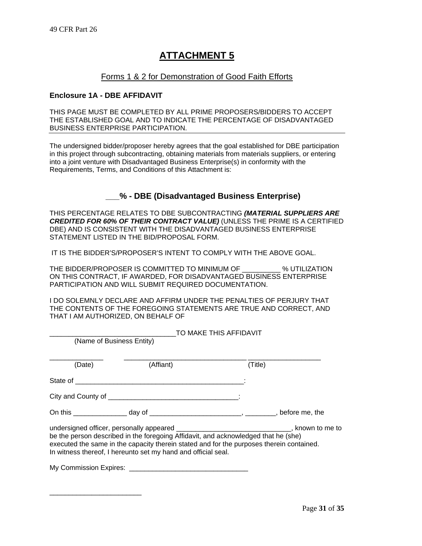#### Forms 1 & 2 for Demonstration of Good Faith Efforts

#### **Enclosure 1A - DBE AFFIDAVIT**

\_\_\_\_\_\_\_\_\_\_\_\_\_\_\_\_\_\_\_\_\_\_\_\_

THIS PAGE MUST BE COMPLETED BY ALL PRIME PROPOSERS/BIDDERS TO ACCEPT THE ESTABLISHED GOAL AND TO INDICATE THE PERCENTAGE OF DISADVANTAGED BUSINESS ENTERPRISE PARTICIPATION.

The undersigned bidder/proposer hereby agrees that the goal established for DBE participation in this project through subcontracting, obtaining materials from materials suppliers, or entering into a joint venture with Disadvantaged Business Enterprise(s) in conformity with the Requirements, Terms, and Conditions of this Attachment is:

## **\_\_\_% - DBE (Disadvantaged Business Enterprise)**

THIS PERCENTAGE RELATES TO DBE SUBCONTRACTING *(MATERIAL SUPPLIERS ARE CREDITED FOR 60% OF THEIR CONTRACT VALUE)* (UNLESS THE PRIME IS A CERTIFIED DBE) AND IS CONSISTENT WITH THE DISADVANTAGED BUSINESS ENTERPRISE STATEMENT LISTED IN THE BID/PROPOSAL FORM.

IT IS THE BIDDER'S/PROPOSER'S INTENT TO COMPLY WITH THE ABOVE GOAL.

THE BIDDER/PROPOSER IS COMMITTED TO MINIMUM OF \_\_\_\_\_\_\_\_\_\_ % UTILIZATION ON THIS CONTRACT, IF AWARDED, FOR DISADVANTAGED BUSINESS ENTERPRISE PARTICIPATION AND WILL SUBMIT REQUIRED DOCUMENTATION.

I DO SOLEMNLY DECLARE AND AFFIRM UNDER THE PENALTIES OF PERJURY THAT THE CONTENTS OF THE FOREGOING STATEMENTS ARE TRUE AND CORRECT, AND THAT I AM AUTHORIZED, ON BEHALF OF

|                           | TO MAKE THIS AFFIDAVIT                                                                                                                                                                                                                                                                                                                       |         |  |  |  |  |  |
|---------------------------|----------------------------------------------------------------------------------------------------------------------------------------------------------------------------------------------------------------------------------------------------------------------------------------------------------------------------------------------|---------|--|--|--|--|--|
| (Name of Business Entity) |                                                                                                                                                                                                                                                                                                                                              |         |  |  |  |  |  |
| (Date)                    | (Affiant)                                                                                                                                                                                                                                                                                                                                    | (Title) |  |  |  |  |  |
|                           |                                                                                                                                                                                                                                                                                                                                              |         |  |  |  |  |  |
|                           |                                                                                                                                                                                                                                                                                                                                              |         |  |  |  |  |  |
|                           |                                                                                                                                                                                                                                                                                                                                              |         |  |  |  |  |  |
|                           | undersigned officer, personally appeared ________________________________, known to me to<br>be the person described in the foregoing Affidavit, and acknowledged that he (she)<br>executed the same in the capacity therein stated and for the purposes therein contained.<br>In witness thereof, I hereunto set my hand and official seal. |         |  |  |  |  |  |
|                           |                                                                                                                                                                                                                                                                                                                                              |         |  |  |  |  |  |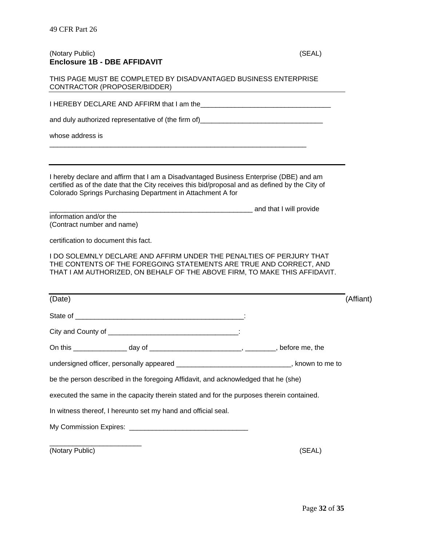#### (Notary Public) (SEAL) **Enclosure 1B - DBE AFFIDAVIT**

| THIS PAGE MUST BE COMPLETED BY DISADVANTAGED BUSINESS ENTERPRISE |  |
|------------------------------------------------------------------|--|
| CONTRACTOR (PROPOSER/BIDDER)                                     |  |

I HEREBY DECLARE AND AFFIRM that I am the\_\_\_\_\_\_\_\_\_\_\_\_\_\_\_\_\_\_\_\_\_\_\_\_\_\_\_\_\_\_\_\_\_\_

and duly authorized representative of (the firm of)

\_\_\_\_\_\_\_\_\_\_\_\_\_\_\_\_\_\_\_\_\_\_\_\_\_\_\_\_\_\_\_\_\_\_\_\_\_\_\_\_\_\_\_\_\_\_\_\_\_\_\_\_\_\_\_\_\_\_\_\_\_\_\_\_\_\_\_

whose address is

I hereby declare and affirm that I am a Disadvantaged Business Enterprise (DBE) and am certified as of the date that the City receives this bid/proposal and as defined by the City of Colorado Springs Purchasing Department in Attachment A for

\_\_\_\_\_\_\_\_\_\_\_\_\_\_\_\_\_\_\_\_\_\_\_\_\_\_\_\_\_\_\_\_\_\_\_\_\_\_\_\_\_\_\_\_\_\_\_\_\_\_\_\_\_ and that I will provide information and/or the

(Contract number and name)

certification to document this fact.

I DO SOLEMNLY DECLARE AND AFFIRM UNDER THE PENALTIES OF PERJURY THAT THE CONTENTS OF THE FOREGOING STATEMENTS ARE TRUE AND CORRECT, AND THAT I AM AUTHORIZED, ON BEHALF OF THE ABOVE FIRM, TO MAKE THIS AFFIDAVIT.

| (Date)                                                                                     | (Affiant) |
|--------------------------------------------------------------------------------------------|-----------|
|                                                                                            |           |
|                                                                                            |           |
|                                                                                            |           |
| undersigned officer, personally appeared _________________________________, known to me to |           |
| be the person described in the foregoing Affidavit, and acknowledged that he (she)         |           |
| executed the same in the capacity therein stated and for the purposes therein contained.   |           |
| In witness thereof, I hereunto set my hand and official seal.                              |           |
|                                                                                            |           |
| (Notary Public)                                                                            | (SEAL)    |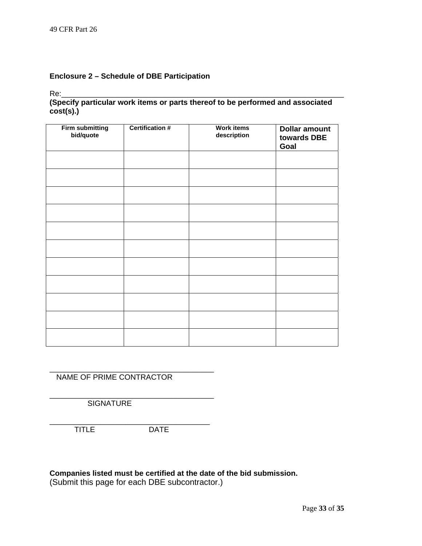#### **Enclosure 2 – Schedule of DBE Participation**

Re:\_\_\_\_\_\_\_\_\_\_\_\_\_\_\_\_\_\_\_\_\_\_\_\_\_\_\_\_\_\_\_\_\_\_\_\_\_\_\_\_\_\_\_\_\_\_\_\_\_\_\_\_\_\_\_\_\_\_\_\_\_\_\_\_\_\_\_

#### **(Specify particular work items or parts thereof to be performed and associated cost(s).)**

| <b>Firm submitting</b><br>bid/quote | <b>Certification #</b> | <b>Work items</b><br>description | <b>Dollar amount</b><br>towards DBE<br>Goal |
|-------------------------------------|------------------------|----------------------------------|---------------------------------------------|
|                                     |                        |                                  |                                             |
|                                     |                        |                                  |                                             |
|                                     |                        |                                  |                                             |
|                                     |                        |                                  |                                             |
|                                     |                        |                                  |                                             |
|                                     |                        |                                  |                                             |
|                                     |                        |                                  |                                             |
|                                     |                        |                                  |                                             |
|                                     |                        |                                  |                                             |
|                                     |                        |                                  |                                             |
|                                     |                        |                                  |                                             |

NAME OF PRIME CONTRACTOR

\_\_\_\_\_\_\_\_\_\_\_\_\_\_\_\_\_\_\_\_\_\_\_\_\_\_\_\_\_\_\_\_\_\_\_\_\_\_\_

\_\_\_\_\_\_\_\_\_\_\_\_\_\_\_\_\_\_\_\_\_\_\_\_\_\_\_\_\_\_\_\_\_\_\_\_\_\_\_ **SIGNATURE** 

\_\_\_\_\_\_\_\_\_\_\_\_\_\_\_\_\_\_\_\_\_\_\_\_\_\_\_\_\_\_\_\_\_\_\_\_\_\_ TITLE DATE

#### **Companies listed must be certified at the date of the bid submission.**

(Submit this page for each DBE subcontractor.)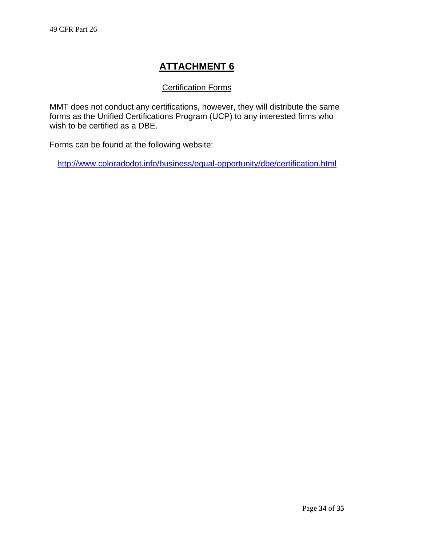## Certification Forms

MMT does not conduct any certifications, however, they will distribute the same forms as the Unified Certifications Program (UCP) to any interested firms who wish to be certified as a DBE.

Forms can be found at the following website:

http://www.coloradodot.info/business/equal-opportunity/dbe/certification.html